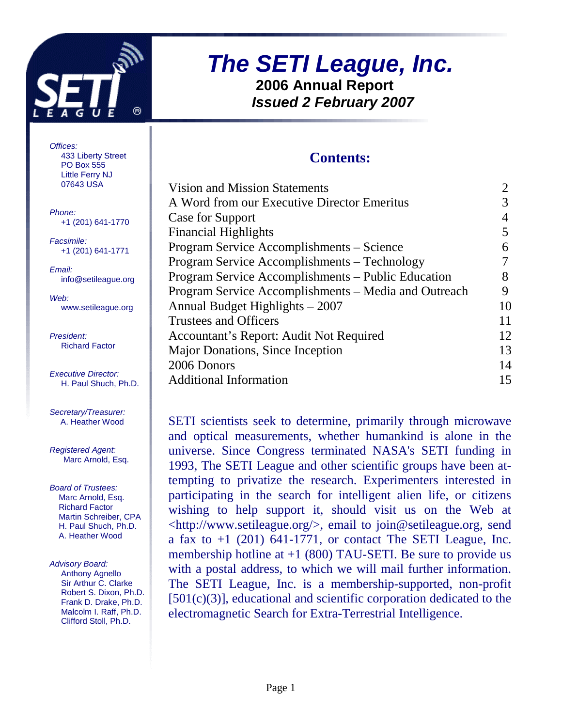

## **The SETI League, Inc. 2006 Annual Report Issued 2 February 2007**

#### **Contents:**

| Vision and Mission Statements                        |    |
|------------------------------------------------------|----|
| A Word from our Executive Director Emeritus          |    |
| Case for Support                                     |    |
| <b>Financial Highlights</b>                          | 5  |
| Program Service Accomplishments – Science            | 6  |
| Program Service Accomplishments – Technology         |    |
| Program Service Accomplishments – Public Education   | 8  |
| Program Service Accomplishments – Media and Outreach | 9  |
| Annual Budget Highlights – 2007                      | 10 |
| Trustees and Officers                                |    |
| Accountant's Report: Audit Not Required              | 12 |
| Major Donations, Since Inception                     | 13 |
| 2006 Donors                                          | 14 |
| <b>Additional Information</b>                        | 15 |
|                                                      |    |

SETI scientists seek to determine, primarily through microwave and optical measurements, whether humankind is alone in the universe. Since Congress terminated NASA's SETI funding in 1993, The SETI League and other scientific groups have been attempting to privatize the research. Experimenters interested in participating in the search for intelligent alien life, or citizens wishing to help support it, should visit us on the Web at <http://www.setileague.org/>, email to join@setileague.org, send a fax to  $+1$  (201) 641-1771, or contact The SETI League, Inc. membership hotline at  $+1$  (800) TAU-SETI. Be sure to provide us with a postal address, to which we will mail further information. The SETI League, Inc. is a membership-supported, non-profit [501(c)(3)], educational and scientific corporation dedicated to the electromagnetic Search for Extra-Terrestrial Intelligence.

Offices: 433 Liberty Street PO Box 555 Little Ferry NJ 07643 USA

Phone: +1 (201) 641-1770

Facsimile: +1 (201) 641-1771

Email: info@setileague.org

Web: www.setileague.org

President: Richard Factor

Executive Director: H. Paul Shuch, Ph.D.

Secretary/Treasurer: A. Heather Wood

Registered Agent: Marc Arnold, Esq.

Board of Trustees: Marc Arnold, Esq. Richard Factor Martin Schreiber, CPA H. Paul Shuch, Ph.D. A. Heather Wood

Advisory Board: Anthony Agnello Sir Arthur C. Clarke Robert S. Dixon, Ph.D. Frank D. Drake, Ph.D. Malcolm I. Raff, Ph.D. Clifford Stoll, Ph.D.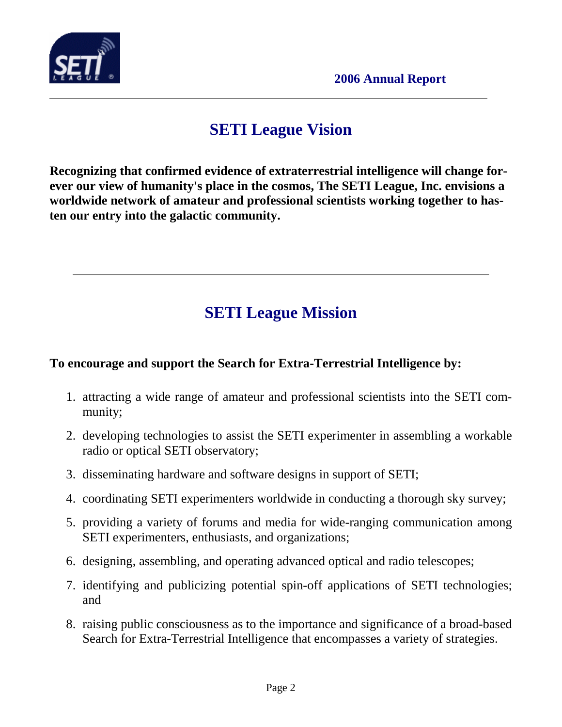

### **SETI League Vision**

**Recognizing that confirmed evidence of extraterrestrial intelligence will change forever our view of humanity's place in the cosmos, The SETI League, Inc. envisions a worldwide network of amateur and professional scientists working together to hasten our entry into the galactic community.** 

## **SETI League Mission**

#### **To encourage and support the Search for Extra-Terrestrial Intelligence by:**

- 1. attracting a wide range of amateur and professional scientists into the SETI community;
- 2. developing technologies to assist the SETI experimenter in assembling a workable radio or optical SETI observatory;
- 3. disseminating hardware and software designs in support of SETI;
- 4. coordinating SETI experimenters worldwide in conducting a thorough sky survey;
- 5. providing a variety of forums and media for wide-ranging communication among SETI experimenters, enthusiasts, and organizations;
- 6. designing, assembling, and operating advanced optical and radio telescopes;
- 7. identifying and publicizing potential spin-off applications of SETI technologies; and
- 8. raising public consciousness as to the importance and significance of a broad-based Search for Extra-Terrestrial Intelligence that encompasses a variety of strategies.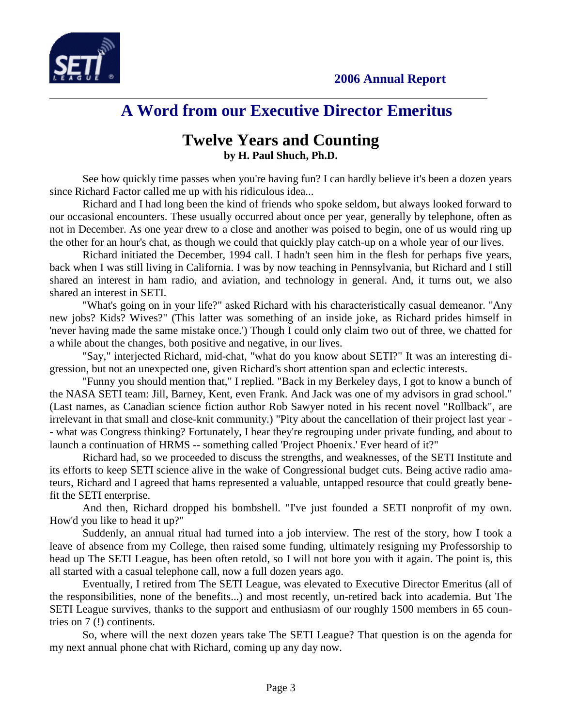



### **A Word from our Executive Director Emeritus**

#### **Twelve Years and Counting by H. Paul Shuch, Ph.D.**

See how quickly time passes when you're having fun? I can hardly believe it's been a dozen years since Richard Factor called me up with his ridiculous idea...

Richard and I had long been the kind of friends who spoke seldom, but always looked forward to our occasional encounters. These usually occurred about once per year, generally by telephone, often as not in December. As one year drew to a close and another was poised to begin, one of us would ring up the other for an hour's chat, as though we could that quickly play catch-up on a whole year of our lives.

Richard initiated the December, 1994 call. I hadn't seen him in the flesh for perhaps five years, back when I was still living in California. I was by now teaching in Pennsylvania, but Richard and I still shared an interest in ham radio, and aviation, and technology in general. And, it turns out, we also shared an interest in SETI.

"What's going on in your life?" asked Richard with his characteristically casual demeanor. "Any new jobs? Kids? Wives?" (This latter was something of an inside joke, as Richard prides himself in 'never having made the same mistake once.') Though I could only claim two out of three, we chatted for a while about the changes, both positive and negative, in our lives.

"Say," interjected Richard, mid-chat, "what do you know about SETI?" It was an interesting digression, but not an unexpected one, given Richard's short attention span and eclectic interests.

"Funny you should mention that," I replied. "Back in my Berkeley days, I got to know a bunch of the NASA SETI team: Jill, Barney, Kent, even Frank. And Jack was one of my advisors in grad school." (Last names, as Canadian science fiction author Rob Sawyer noted in his recent novel "Rollback", are irrelevant in that small and close-knit community.) "Pity about the cancellation of their project last year - - what was Congress thinking? Fortunately, I hear they're regrouping under private funding, and about to launch a continuation of HRMS -- something called 'Project Phoenix.' Ever heard of it?"

Richard had, so we proceeded to discuss the strengths, and weaknesses, of the SETI Institute and its efforts to keep SETI science alive in the wake of Congressional budget cuts. Being active radio amateurs, Richard and I agreed that hams represented a valuable, untapped resource that could greatly benefit the SETI enterprise.

And then, Richard dropped his bombshell. "I've just founded a SETI nonprofit of my own. How'd you like to head it up?"

Suddenly, an annual ritual had turned into a job interview. The rest of the story, how I took a leave of absence from my College, then raised some funding, ultimately resigning my Professorship to head up The SETI League, has been often retold, so I will not bore you with it again. The point is, this all started with a casual telephone call, now a full dozen years ago.

Eventually, I retired from The SETI League, was elevated to Executive Director Emeritus (all of the responsibilities, none of the benefits...) and most recently, un-retired back into academia. But The SETI League survives, thanks to the support and enthusiasm of our roughly 1500 members in 65 countries on 7 (!) continents.

So, where will the next dozen years take The SETI League? That question is on the agenda for my next annual phone chat with Richard, coming up any day now.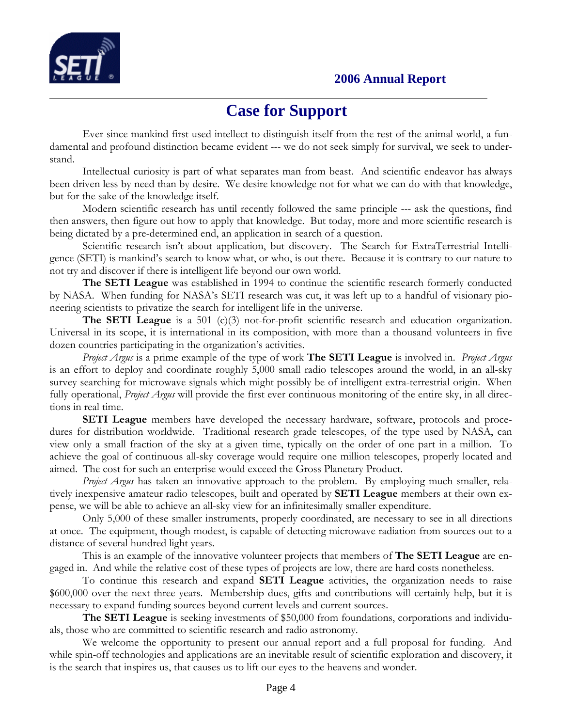

### **Case for Support**

Ever since mankind first used intellect to distinguish itself from the rest of the animal world, a fundamental and profound distinction became evident --- we do not seek simply for survival, we seek to understand.

 Intellectual curiosity is part of what separates man from beast. And scientific endeavor has always been driven less by need than by desire. We desire knowledge not for what we can do with that knowledge, but for the sake of the knowledge itself.

 Modern scientific research has until recently followed the same principle --- ask the questions, find then answers, then figure out how to apply that knowledge. But today, more and more scientific research is being dictated by a pre-determined end, an application in search of a question.

Scientific research isn't about application, but discovery. The Search for ExtraTerrestrial Intelligence (SETI) is mankind's search to know what, or who, is out there. Because it is contrary to our nature to not try and discover if there is intelligent life beyond our own world.

The SETI League was established in 1994 to continue the scientific research formerly conducted by NASA. When funding for NASA's SETI research was cut, it was left up to a handful of visionary pioneering scientists to privatize the search for intelligent life in the universe.

**The SETI League** is a 501 (c)(3) not-for-profit scientific research and education organization. Universal in its scope, it is international in its composition, with more than a thousand volunteers in five dozen countries participating in the organization's activities.

Project Argus is a prime example of the type of work **The SETI League** is involved in. *Project Argus* is an effort to deploy and coordinate roughly 5,000 small radio telescopes around the world, in an all-sky survey searching for microwave signals which might possibly be of intelligent extra-terrestrial origin. When fully operational, *Project Argus* will provide the first ever continuous monitoring of the entire sky, in all directions in real time.

SETI League members have developed the necessary hardware, software, protocols and procedures for distribution worldwide. Traditional research grade telescopes, of the type used by NASA, can view only a small fraction of the sky at a given time, typically on the order of one part in a million. To achieve the goal of continuous all-sky coverage would require one million telescopes, properly located and aimed. The cost for such an enterprise would exceed the Gross Planetary Product.

*Project Argus* has taken an innovative approach to the problem. By employing much smaller, relatively inexpensive amateur radio telescopes, built and operated by SETI League members at their own expense, we will be able to achieve an all-sky view for an infinitesimally smaller expenditure.

Only 5,000 of these smaller instruments, properly coordinated, are necessary to see in all directions at once. The equipment, though modest, is capable of detecting microwave radiation from sources out to a distance of several hundred light years.

This is an example of the innovative volunteer projects that members of **The SETI League** are engaged in. And while the relative cost of these types of projects are low, there are hard costs nonetheless.

To continue this research and expand SETI League activities, the organization needs to raise \$600,000 over the next three years. Membership dues, gifts and contributions will certainly help, but it is necessary to expand funding sources beyond current levels and current sources.

The SETI League is seeking investments of \$50,000 from foundations, corporations and individuals, those who are committed to scientific research and radio astronomy.

We welcome the opportunity to present our annual report and a full proposal for funding. And while spin-off technologies and applications are an inevitable result of scientific exploration and discovery, it is the search that inspires us, that causes us to lift our eyes to the heavens and wonder.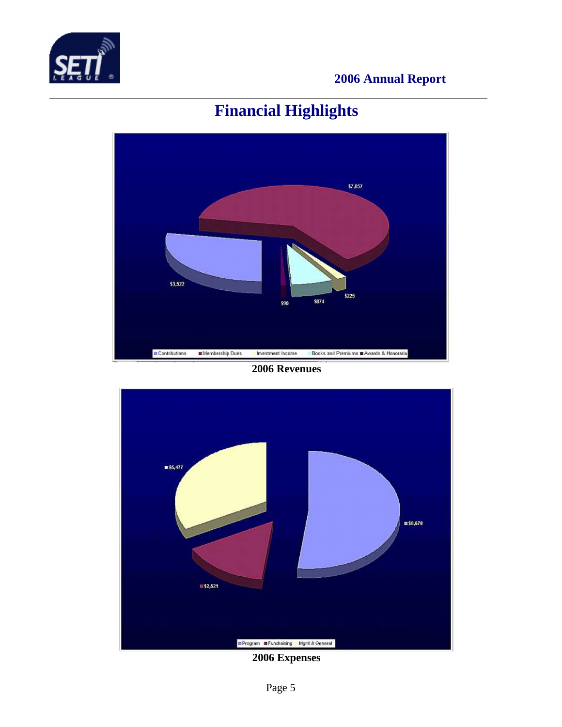

# **Financial Highlights**



#### **2006 Revenues**



**2006 Expenses**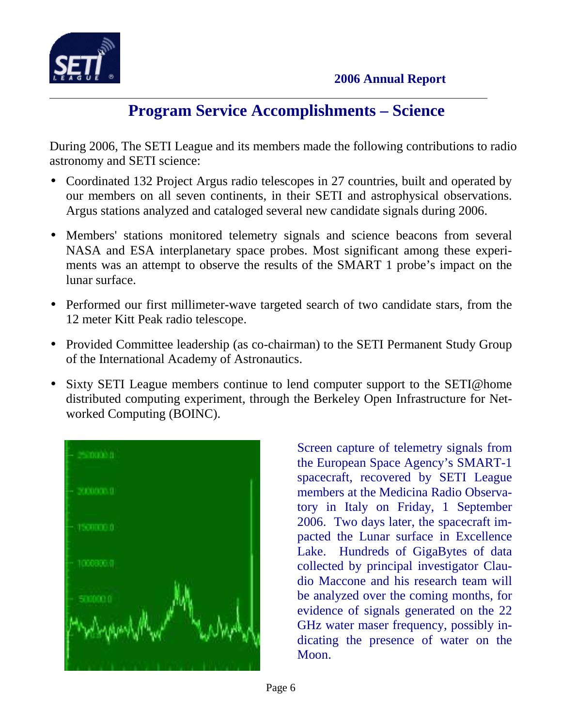

### **Program Service Accomplishments – Science**

During 2006, The SETI League and its members made the following contributions to radio astronomy and SETI science:

- Coordinated 132 Project Argus radio telescopes in 27 countries, built and operated by our members on all seven continents, in their SETI and astrophysical observations. Argus stations analyzed and cataloged several new candidate signals during 2006.
- Members' stations monitored telemetry signals and science beacons from several NASA and ESA interplanetary space probes. Most significant among these experiments was an attempt to observe the results of the SMART 1 probe's impact on the lunar surface.
- Performed our first millimeter-wave targeted search of two candidate stars, from the 12 meter Kitt Peak radio telescope.
- Provided Committee leadership (as co-chairman) to the SETI Permanent Study Group of the International Academy of Astronautics.
- Sixty SETI League members continue to lend computer support to the SETI@home distributed computing experiment, through the Berkeley Open Infrastructure for Networked Computing (BOINC).



Screen capture of telemetry signals from the European Space Agency's SMART-1 spacecraft, recovered by SETI League members at the Medicina Radio Observatory in Italy on Friday, 1 September 2006. Two days later, the spacecraft impacted the Lunar surface in Excellence Lake. Hundreds of GigaBytes of data collected by principal investigator Claudio Maccone and his research team will be analyzed over the coming months, for evidence of signals generated on the 22 GHz water maser frequency, possibly indicating the presence of water on the Moon.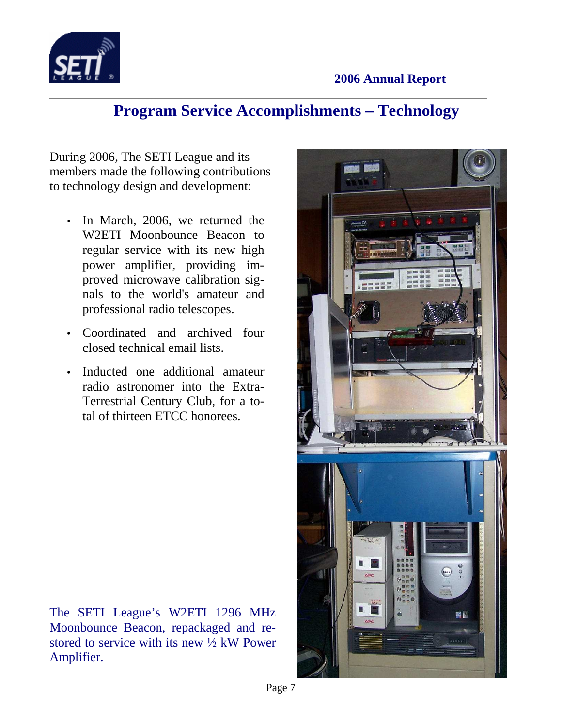

### **Program Service Accomplishments – Technology**

During 2006, The SETI League and its members made the following contributions to technology design and development:

- In March, 2006, we returned the W2ETI Moonbounce Beacon to regular service with its new high power amplifier, providing improved microwave calibration signals to the world's amateur and professional radio telescopes.
- Coordinated and archived four closed technical email lists.
- Inducted one additional amateur radio astronomer into the Extra-Terrestrial Century Club, for a total of thirteen ETCC honorees.

The SETI League's W2ETI 1296 MHz Moonbounce Beacon, repackaged and restored to service with its new ½ kW Power Amplifier.

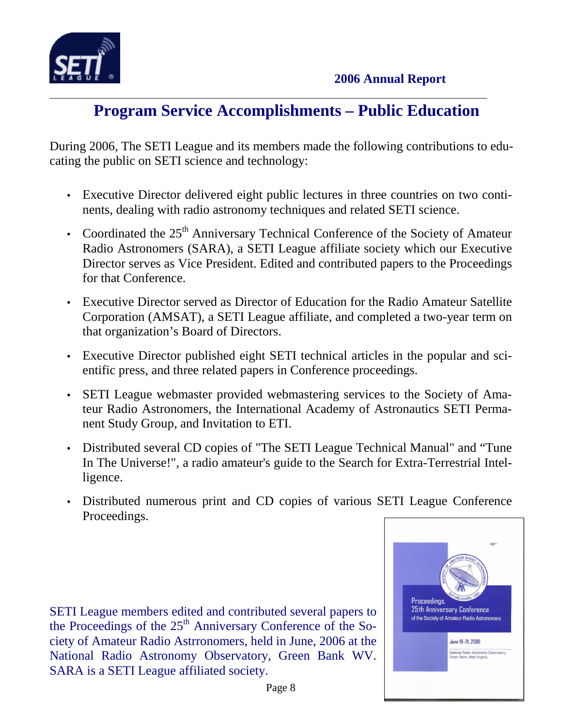

## **Program Service Accomplishments – Public Education**

During 2006, The SETI League and its members made the following contributions to educating the public on SETI science and technology:

- Executive Director delivered eight public lectures in three countries on two continents, dealing with radio astronomy techniques and related SETI science.
- Coordinated the  $25<sup>th</sup>$  Anniversary Technical Conference of the Society of Amateur Radio Astronomers (SARA), a SETI League affiliate society which our Executive Director serves as Vice President. Edited and contributed papers to the Proceedings for that Conference.
- Executive Director served as Director of Education for the Radio Amateur Satellite Corporation (AMSAT), a SETI League affiliate, and completed a two-year term on that organization's Board of Directors.
- Executive Director published eight SETI technical articles in the popular and scientific press, and three related papers in Conference proceedings.
- SETI League webmaster provided webmastering services to the Society of Amateur Radio Astronomers, the International Academy of Astronautics SETI Permanent Study Group, and Invitation to ETI.
- Distributed several CD copies of "The SETI League Technical Manual" and "Tune In The Universe!", a radio amateur's guide to the Search for Extra-Terrestrial Intelligence.
- Distributed numerous print and CD copies of various SETI League Conference Proceedings.

SETI League members edited and contributed several papers to the Proceedings of the  $25<sup>th</sup>$  Anniversary Conference of the Society of Amateur Radio Astrronomers, held in June, 2006 at the National Radio Astronomy Observatory, Green Bank WV. SARA is a SETI League affiliated society.

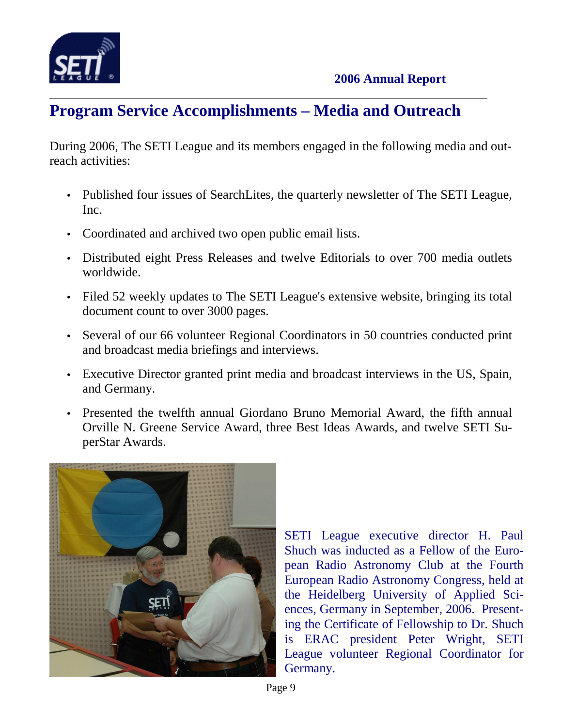

# **Program Service Accomplishments – Media and Outreach**

During 2006, The SETI League and its members engaged in the following media and outreach activities:

- Published four issues of SearchLites, the quarterly newsletter of The SETI League, Inc.
- Coordinated and archived two open public email lists.
- Distributed eight Press Releases and twelve Editorials to over 700 media outlets worldwide.
- Filed 52 weekly updates to The SETI League's extensive website, bringing its total document count to over 3000 pages.
- Several of our 66 volunteer Regional Coordinators in 50 countries conducted print and broadcast media briefings and interviews.
- Executive Director granted print media and broadcast interviews in the US, Spain, and Germany.
- Presented the twelfth annual Giordano Bruno Memorial Award, the fifth annual Orville N. Greene Service Award, three Best Ideas Awards, and twelve SETI SuperStar Awards.



SETI League executive director H. Paul Shuch was inducted as a Fellow of the European Radio Astronomy Club at the Fourth European Radio Astronomy Congress, held at the Heidelberg University of Applied Sciences, Germany in September, 2006. Presenting the Certificate of Fellowship to Dr. Shuch is ERAC president Peter Wright, SETI League volunteer Regional Coordinator for Germany.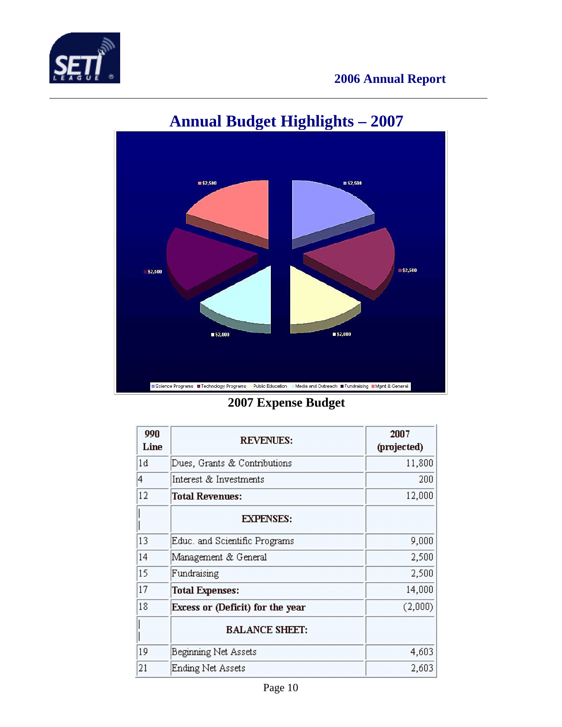



# **Annual Budget Highlights – 2007**

**2007 Expense Budget** 

| 990<br>Line | <b>REVENUES:</b>                 | 2007<br>(projected) |
|-------------|----------------------------------|---------------------|
| 1d          | Dues, Grants & Contributions     | 11,800              |
| 4           | Interest & Investments           | 200                 |
| 12          | <b>Total Revenues:</b>           | 12,000              |
|             | <b>EXPENSES:</b>                 |                     |
| 13          | Educ. and Scientific Programs    | 9,000               |
| 14          | Management & General             | 2,500               |
| 15          | Fundraising                      | 2,500               |
| 17          | <b>Total Expenses:</b>           | 14,000              |
| 18          | Excess or (Deficit) for the year | (2,000)             |
|             | <b>BALANCE SHEET:</b>            |                     |
| 19          | Beginning Net Assets             | 4,603               |
| 21          | <b>Ending Net Assets</b>         | 2,603               |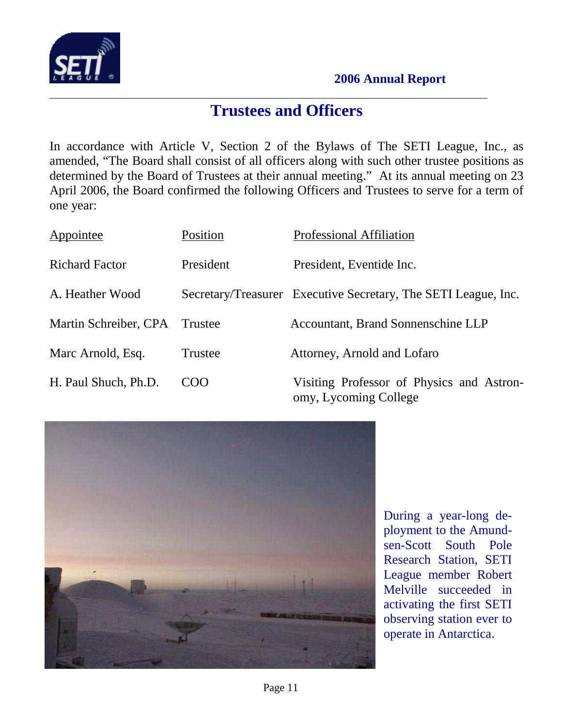

### **Trustees and Officers**

In accordance with Article V, Section 2 of the Bylaws of The SETI League, Inc., as amended, "The Board shall consist of all officers along with such other trustee positions as determined by the Board of Trustees at their annual meeting." At its annual meeting on 23 April 2006, the Board confirmed the following Officers and Trustees to serve for a term of one year:

| Appointee             | Position  | <b>Professional Affiliation</b>                                    |
|-----------------------|-----------|--------------------------------------------------------------------|
| <b>Richard Factor</b> | President | President, Eventide Inc.                                           |
| A. Heather Wood       |           | Secretary/Treasurer Executive Secretary, The SETI League, Inc.     |
| Martin Schreiber, CPA | Trustee   | Accountant, Brand Sonnenschine LLP                                 |
| Marc Arnold, Esq.     | Trustee   | Attorney, Arnold and Lofaro                                        |
| H. Paul Shuch, Ph.D.  | COO       | Visiting Professor of Physics and Astron-<br>omy, Lycoming College |



During a year-long deployment to the Amundsen-Scott South Pole Research Station, SETI League member Robert Melville succeeded in activating the first SETI observing station ever to operate in Antarctica.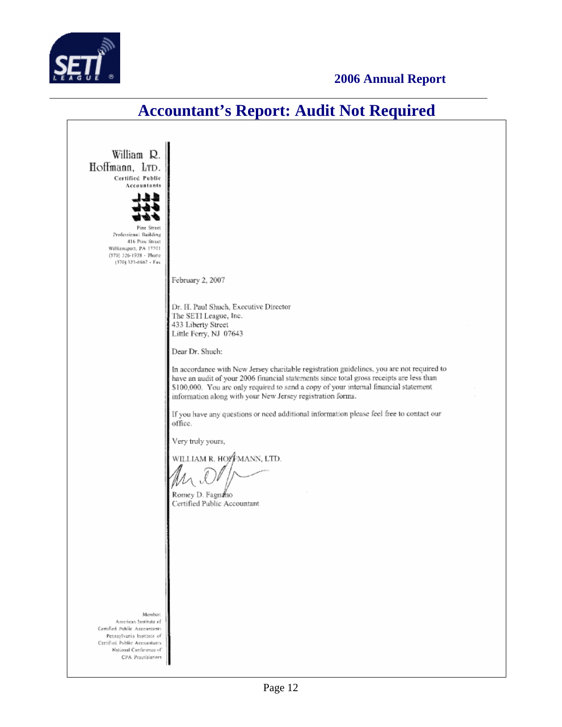

## **Accountant's Report: Audit Not Required**

William R. Hoffmann, LTD. Certified Public Accountants Pine Street Professional Building 416 Pine Street Williamsport, PA 17701<br>(570) 326-1938 - Phone (570) 323-6667 - Fax February 2, 2007 Dr. H. Paul Shuch, Executive Director The SETI League, Inc. 433 Liberty Street Little Ferry, NJ 07643 Dear Dr. Shuch: In accordance with New Jersey charitable registration guidelines, you are not required to have an audit of your 2006 financial statements since total gross receipts are less than \$100,000. You are only required to send a copy of your internal financial statement information along with your New Jersey registration forms. If you have any questions or need additional information please feel free to contact our office. Very truly yours, WILLIAM R. HO∤∲MANN, LTD. Romey D. Fagnano Certified Public Accountant Member American Institute of Certified Public Accountants Pennsylvania Institute of Certified Public Accountants National Conference of CPA Practitioners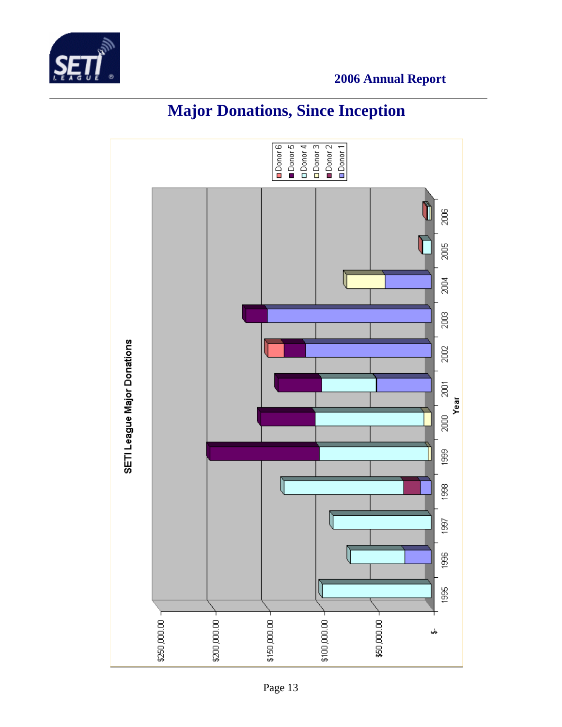



# **Major Donations, Since Inception**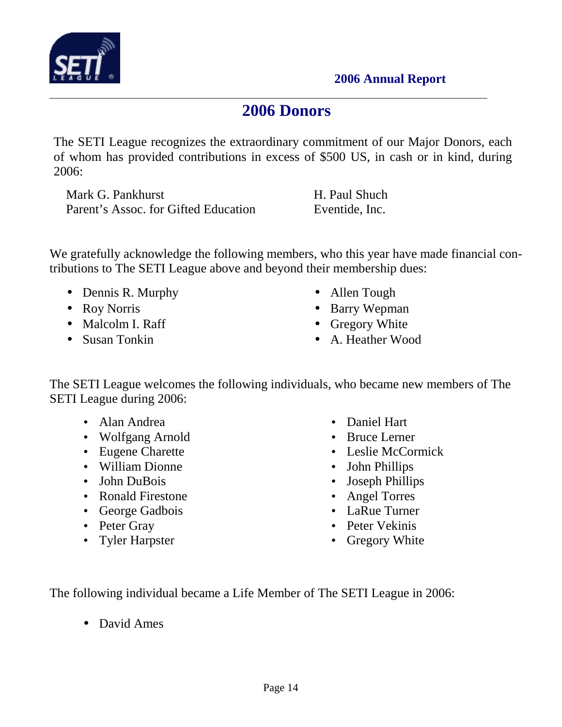

### **2006 Donors**

The SETI League recognizes the extraordinary commitment of our Major Donors, each of whom has provided contributions in excess of \$500 US, in cash or in kind, during 2006:

Mark G. Pankhurst H. Paul Shuch Parent's Assoc. for Gifted Education Eventide, Inc.

We gratefully acknowledge the following members, who this year have made financial contributions to The SETI League above and beyond their membership dues:

- Dennis R. Murphy
- Roy Norris
- Malcolm I. Raff
- Susan Tonkin
- Allen Tough
- Barry Wepman
- Gregory White
- A. Heather Wood

The SETI League welcomes the following individuals, who became new members of The SETI League during 2006:

- Alan Andrea
- Wolfgang Arnold
- Eugene Charette
- William Dionne
- John DuBois
- Ronald Firestone
- George Gadbois
- Peter Gray
- Tyler Harpster
- Daniel Hart
- Bruce Lerner
- Leslie McCormick
- John Phillips
- Joseph Phillips
- Angel Torres
- LaRue Turner
- Peter Vekinis
- Gregory White

The following individual became a Life Member of The SETI League in 2006:

• David Ames